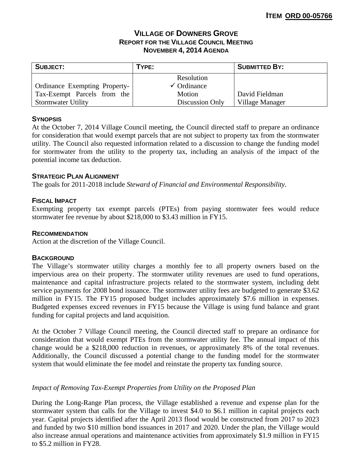# **VILLAGE OF DOWNERS GROVE REPORT FOR THE VILLAGE COUNCIL MEETING NOVEMBER 4, 2014 AGENDA**

| <b>SUBJECT:</b>                      | TYPE:                  | <b>SUBMITTED BY:</b> |
|--------------------------------------|------------------------|----------------------|
|                                      | Resolution             |                      |
| <b>Ordinance Exempting Property-</b> | $\checkmark$ Ordinance |                      |
| Tax-Exempt Parcels from the          | Motion                 | David Fieldman       |
| <b>Stormwater Utility</b>            | Discussion Only        | Village Manager      |

### **SYNOPSIS**

At the October 7, 2014 Village Council meeting, the Council directed staff to prepare an ordinance for consideration that would exempt parcels that are not subject to property tax from the stormwater utility. The Council also requested information related to a discussion to change the funding model for stormwater from the utility to the property tax, including an analysis of the impact of the potential income tax deduction.

# **STRATEGIC PLAN ALIGNMENT**

The goals for 2011-2018 include *Steward of Financial and Environmental Responsibility*.

# **FISCAL IMPACT**

Exempting property tax exempt parcels (PTEs) from paying stormwater fees would reduce stormwater fee revenue by about \$218,000 to \$3.43 million in FY15.

### **RECOMMENDATION**

Action at the discretion of the Village Council.

### **BACKGROUND**

The Village's stormwater utility charges a monthly fee to all property owners based on the impervious area on their property. The stormwater utility revenues are used to fund operations, maintenance and capital infrastructure projects related to the stormwater system, including debt service payments for 2008 bond issuance. The stormwater utility fees are budgeted to generate \$3.62 million in FY15. The FY15 proposed budget includes approximately \$7.6 million in expenses. Budgeted expenses exceed revenues in FY15 because the Village is using fund balance and grant funding for capital projects and land acquisition.

At the October 7 Village Council meeting, the Council directed staff to prepare an ordinance for consideration that would exempt PTEs from the stormwater utility fee. The annual impact of this change would be a \$218,000 reduction in revenues, or approximately 8% of the total revenues. Additionally, the Council discussed a potential change to the funding model for the stormwater system that would eliminate the fee model and reinstate the property tax funding source.

# *Impact of Removing Tax-Exempt Properties from Utility on the Proposed Plan*

During the Long-Range Plan process, the Village established a revenue and expense plan for the stormwater system that calls for the Village to invest \$4.0 to \$6.1 million in capital projects each year. Capital projects identified after the April 2013 flood would be constructed from 2017 to 2023 and funded by two \$10 million bond issuances in 2017 and 2020. Under the plan, the Village would also increase annual operations and maintenance activities from approximately \$1.9 million in FY15 to \$5.2 million in FY28.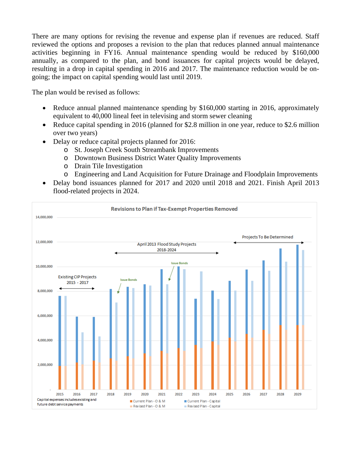There are many options for revising the revenue and expense plan if revenues are reduced. Staff reviewed the options and proposes a revision to the plan that reduces planned annual maintenance activities beginning in FY16. Annual maintenance spending would be reduced by \$160,000 annually, as compared to the plan, and bond issuances for capital projects would be delayed, resulting in a drop in capital spending in 2016 and 2017. The maintenance reduction would be ongoing; the impact on capital spending would last until 2019.

The plan would be revised as follows:

- Reduce annual planned maintenance spending by \$160,000 starting in 2016, approximately equivalent to 40,000 lineal feet in televising and storm sewer cleaning
- Reduce capital spending in 2016 (planned for \$2.8 million in one year, reduce to \$2.6 million over two years)
- Delay or reduce capital projects planned for 2016:
	- o St. Joseph Creek South Streambank Improvements
	- o Downtown Business District Water Quality Improvements
	- o Drain Tile Investigation
	- o Engineering and Land Acquisition for Future Drainage and Floodplain Improvements
- Delay bond issuances planned for 2017 and 2020 until 2018 and 2021. Finish April 2013 flood-related projects in 2024.

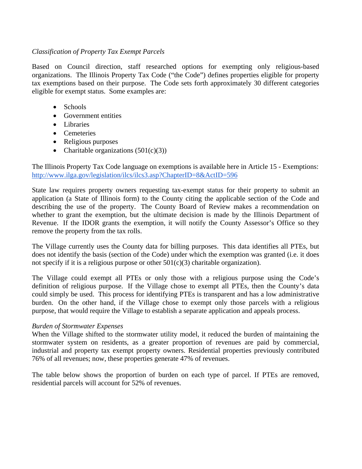# *Classification of Property Tax Exempt Parcels*

Based on Council direction, staff researched options for exempting only religious-based organizations. The Illinois Property Tax Code ("the Code") defines properties eligible for property tax exemptions based on their purpose. The Code sets forth approximately 30 different categories eligible for exempt status. Some examples are:

- Schools
- Government entities
- Libraries
- Cemeteries
- Religious purposes
- Charitable organizations  $(501(c)(3))$

The Illinois Property Tax Code language on exemptions is available here in Article 15 - Exemptions: http://www.ilga.gov/legislation/ilcs/ilcs3.asp?ChapterID=8&ActID=596

State law requires property owners requesting tax-exempt status for their property to submit an application (a State of Illinois form) to the County citing the applicable section of the Code and describing the use of the property. The County Board of Review makes a recommendation on whether to grant the exemption, but the ultimate decision is made by the Illinois Department of Revenue. If the IDOR grants the exemption, it will notify the County Assessor's Office so they remove the property from the tax rolls.

The Village currently uses the County data for billing purposes. This data identifies all PTEs, but does not identify the basis (section of the Code) under which the exemption was granted (i.e. it does not specify if it is a religious purpose or other  $501(c)(3)$  charitable organization).

The Village could exempt all PTEs or only those with a religious purpose using the Code's definition of religious purpose. If the Village chose to exempt all PTEs, then the County's data could simply be used. This process for identifying PTEs is transparent and has a low administrative burden. On the other hand, if the Village chose to exempt only those parcels with a religious purpose, that would require the Village to establish a separate application and appeals process.

### *Burden of Stormwater Expenses*

When the Village shifted to the stormwater utility model, it reduced the burden of maintaining the stormwater system on residents, as a greater proportion of revenues are paid by commercial, industrial and property tax exempt property owners. Residential properties previously contributed 76% of all revenues; now, these properties generate 47% of revenues.

The table below shows the proportion of burden on each type of parcel. If PTEs are removed, residential parcels will account for 52% of revenues.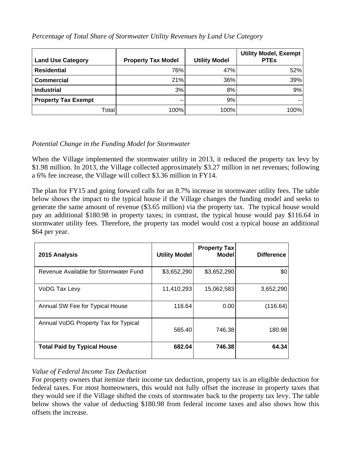*Percentage of Total Share of Stormwater Utility Revenues by Land Use Category* 

| <b>Land Use Category</b>   |        | <b>Property Tax Model</b> | <b>Utility Model</b> | <b>Utility Model, Exempt</b><br><b>PTEs</b> |
|----------------------------|--------|---------------------------|----------------------|---------------------------------------------|
| <b>Residential</b>         |        | 76%                       | 47%                  | 52%                                         |
| <b>Commercial</b>          |        | 21%                       | 36%                  | 39%                                         |
| <b>Industrial</b>          |        | 3%                        | 8%                   | 9%                                          |
| <b>Property Tax Exempt</b> |        | --                        | 9%                   |                                             |
|                            | Totall | 100%                      | 100%                 | 100%                                        |

# *Potential Change in the Funding Model for Stormwater*

When the Village implemented the stormwater utility in 2013, it reduced the property tax levy by \$1.98 million. In 2013, the Village collected approximately \$3.27 million in net revenues; following a 6% fee increase, the Village will collect \$3.36 million in FY14.

The plan for FY15 and going forward calls for an 8.7% increase in stormwater utility fees. The table below shows the impact to the typical house if the Village changes the funding model and seeks to generate the same amount of revenue (\$3.65 million) via the property tax. The typical house would pay an additional \$180.98 in property taxes; in contrast, the typical house would pay \$116.64 in stormwater utility fees. Therefore, the property tax model would cost a typical house an additional \$64 per year.

| 2015 Analysis                         | <b>Utility Model</b> | <b>Property Tax</b><br>Model | <b>Difference</b> |
|---------------------------------------|----------------------|------------------------------|-------------------|
| Revenue Available for Stormwater Fund | \$3,652,290          | \$3,652,290                  | \$0               |
| VoDG Tax Levy                         | 11,410,293           | 15,062,583                   | 3,652,290         |
| Annual SW Fee for Typical House       | 116.64               | 0.00                         | (116.64)          |
| Annual VoDG Property Tax for Typical  | 565.40               | 746.38                       | 180.98            |
| <b>Total Paid by Typical House</b>    | 682.04               | 746.38                       | 64.34             |

# *Value of Federal Income Tax Deduction*

For property owners that itemize their income tax deduction, property tax is an eligible deduction for federal taxes. For most homeowners, this would not fully offset the increase in property taxes that they would see if the Village shifted the costs of stormwater back to the property tax levy. The table below shows the value of deducting \$180.98 from federal income taxes and also shows how this offsets the increase.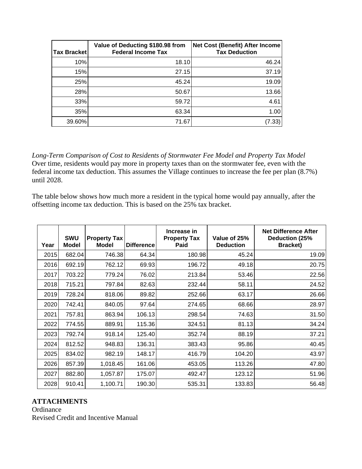| <b>Tax Bracket</b> | Value of Deducting \$180.98 from<br><b>Federal Income Tax</b> | <b>Net Cost (Benefit) After Income</b><br><b>Tax Deduction</b> |
|--------------------|---------------------------------------------------------------|----------------------------------------------------------------|
| 10%                | 18.10                                                         | 46.24                                                          |
| 15%                | 27.15                                                         | 37.19                                                          |
| 25%                | 45.24                                                         | 19.09                                                          |
| 28%                | 50.67                                                         | 13.66                                                          |
| 33%                | 59.72                                                         | 4.61                                                           |
| 35%                | 63.34                                                         | 1.00                                                           |
| 39.60%             | 71.67                                                         | (7.33                                                          |

*Long-Term Comparison of Cost to Residents of Stormwater Fee Model and Property Tax Model* Over time, residents would pay more in property taxes than on the stormwater fee, even with the federal income tax deduction. This assumes the Village continues to increase the fee per plan (8.7%) until 2028.

The table below shows how much more a resident in the typical home would pay annually, after the offsetting income tax deduction. This is based on the 25% tax bracket.

| Year | <b>SWU</b><br><b>Model</b> | <b>Property Tax</b><br><b>Model</b> | <b>Difference</b> | Increase in<br><b>Property Tax</b><br>Paid | Value of 25%<br><b>Deduction</b> | <b>Net Difference After</b><br>Deduction (25%<br>Bracket) |
|------|----------------------------|-------------------------------------|-------------------|--------------------------------------------|----------------------------------|-----------------------------------------------------------|
| 2015 | 682.04                     | 746.38                              | 64.34             | 180.98                                     | 45.24                            | 19.09                                                     |
| 2016 | 692.19                     | 762.12                              | 69.93             | 196.72                                     | 49.18                            | 20.75                                                     |
| 2017 | 703.22                     | 779.24                              | 76.02             | 213.84                                     | 53.46                            | 22.56                                                     |
| 2018 | 715.21                     | 797.84                              | 82.63             | 232.44                                     | 58.11                            | 24.52                                                     |
| 2019 | 728.24                     | 818.06                              | 89.82             | 252.66                                     | 63.17                            | 26.66                                                     |
| 2020 | 742.41                     | 840.05                              | 97.64             | 274.65                                     | 68.66                            | 28.97                                                     |
| 2021 | 757.81                     | 863.94                              | 106.13            | 298.54                                     | 74.63                            | 31.50                                                     |
| 2022 | 774.55                     | 889.91                              | 115.36            | 324.51                                     | 81.13                            | 34.24                                                     |
| 2023 | 792.74                     | 918.14                              | 125.40            | 352.74                                     | 88.19                            | 37.21                                                     |
| 2024 | 812.52                     | 948.83                              | 136.31            | 383.43                                     | 95.86                            | 40.45                                                     |
| 2025 | 834.02                     | 982.19                              | 148.17            | 416.79                                     | 104.20                           | 43.97                                                     |
| 2026 | 857.39                     | 1,018.45                            | 161.06            | 453.05                                     | 113.26                           | 47.80                                                     |
| 2027 | 882.80                     | 1,057.87                            | 175.07            | 492.47                                     | 123.12                           | 51.96                                                     |
| 2028 | 910.41                     | 1,100.71                            | 190.30            | 535.31                                     | 133.83                           | 56.48                                                     |

# **ATTACHMENTS**

**Ordinance** Revised Credit and Incentive Manual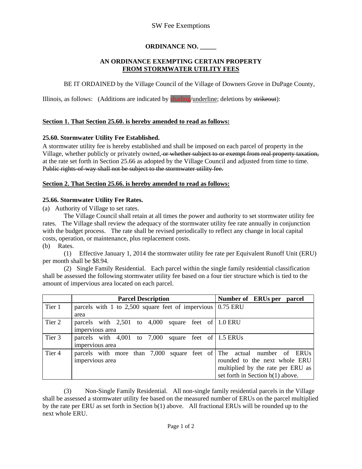# SW Fee Exemptions

# **ORDINANCE NO. \_\_\_\_\_**

#### **AN ORDINANCE EXEMPTING CERTAIN PROPERTY FROM STORMWATER UTILITY FEES**

BE IT ORDAINED by the Village Council of the Village of Downers Grove in DuPage County,

Illinois, as follows: (Additions are indicated by **shading**/underline; deletions by strikeout):

#### **Section 1. That Section 25.60. is hereby amended to read as follows:**

#### **25.60. Stormwater Utility Fee Established.**

A stormwater utility fee is hereby established and shall be imposed on each parcel of property in the Village, whether publicly or privately owned, or whether subject to or exempt from real property taxation, at the rate set forth in Section 25.66 as adopted by the Village Council and adjusted from time to time. Public rights-of-way shall not be subject to the stormwater utility fee.

#### **Section 2. That Section 25.66. is hereby amended to read as follows:**

#### **25.66. Stormwater Utility Fee Rates.**

(a) Authority of Village to set rates.

 The Village Council shall retain at all times the power and authority to set stormwater utility fee rates. The Village shall review the adequacy of the stormwater utility fee rate annually in conjunction with the budget process. The rate shall be revised periodically to reflect any change in local capital costs, operation, or maintenance, plus replacement costs. (b) Rates.

 (1) Effective January 1, 2014 the stormwater utility fee rate per Equivalent Runoff Unit (ERU) per month shall be \$8.94.

 (2) Single Family Residential. Each parcel within the single family residential classification shall be assessed the following stormwater utility fee based on a four tier structure which is tied to the amount of impervious area located on each parcel.

|                   | <b>Parcel Description</b>                                             | Number of ERUs per parcel          |
|-------------------|-----------------------------------------------------------------------|------------------------------------|
| Tier 1            | parcels with 1 to 2,500 square feet of impervious $\vert 0.75$ ERU    |                                    |
|                   | area                                                                  |                                    |
| Tier 2            | parcels with $2,501$ to $4,000$ square feet of $1.0$ ERU              |                                    |
|                   | impervious area                                                       |                                    |
| Tier 3            | parcels with $4,001$ to $7,000$<br>square feet of 1.5 ERUs            |                                    |
|                   | impervious area                                                       |                                    |
| Tier <sub>4</sub> | parcels with more than 7,000 square feet of The actual number of ERUs |                                    |
|                   | impervious area                                                       | rounded to the next whole ERU      |
|                   |                                                                       | multiplied by the rate per ERU as  |
|                   |                                                                       | set forth in Section $b(1)$ above. |

 (3) Non-Single Family Residential. All non-single family residential parcels in the Village shall be assessed a stormwater utility fee based on the measured number of ERUs on the parcel multiplied by the rate per ERU as set forth in Section b(1) above. All fractional ERUs will be rounded up to the next whole ERU.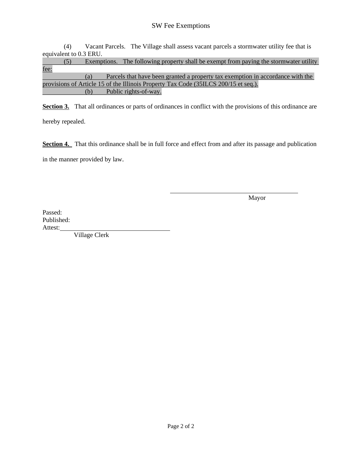# SW Fee Exemptions

 (4) Vacant Parcels. The Village shall assess vacant parcels a stormwater utility fee that is equivalent to 0.3 ERU.

|      | (5) |     | Exemptions. The following property shall be exempt from paying the stormwater utility |
|------|-----|-----|---------------------------------------------------------------------------------------|
| fee: |     |     |                                                                                       |
|      |     | (a) | Parcels that have been granted a property tax exemption in accordance with the        |
|      |     |     | provisions of Article 15 of the Illinois Property Tax Code (35ILCS 200/15 et seq.).   |
|      |     | (b) | Public rights-of-way.                                                                 |

**Section 3.** That all ordinances or parts of ordinances in conflict with the provisions of this ordinance are hereby repealed.

**Section 4.** That this ordinance shall be in full force and effect from and after its passage and publication in the manner provided by law.

Mayor

Passed: Published: Attest:

Village Clerk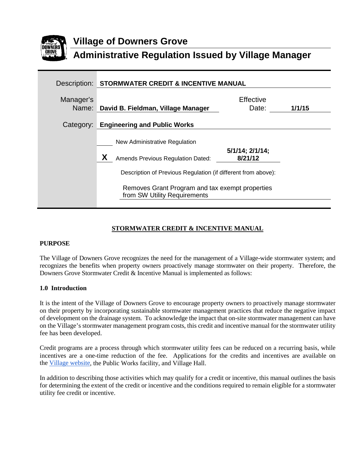

# **Village of Downers Grove Administrative Regulation Issued by Village Manager**

| Description: | STORMWATER CREDIT & INCENTIVE MANUAL                                                                                                                                                                                          |                                  |        |
|--------------|-------------------------------------------------------------------------------------------------------------------------------------------------------------------------------------------------------------------------------|----------------------------------|--------|
| Manager's    | Name: David B. Fieldman, Village Manager                                                                                                                                                                                      | Effective<br>Date:               | 1/1/15 |
|              | Category: Engineering and Public Works                                                                                                                                                                                        |                                  |        |
|              | New Administrative Regulation<br><b>Amends Previous Regulation Dated:</b><br>Description of Previous Regulation (if different from above):<br>Removes Grant Program and tax exempt properties<br>from SW Utility Requirements | $5/1/14$ ; $2/1/14$ ;<br>8/21/12 |        |

# **STORMWATER CREDIT & INCENTIVE MANUAL**

#### **PURPOSE**

The Village of Downers Grove recognizes the need for the management of a Village-wide stormwater system; and recognizes the benefits when property owners proactively manage stormwater on their property. Therefore, the Downers Grove Stormwater Credit & Incentive Manual is implemented as follows:

#### **1.0 Introduction**

It is the intent of the Village of Downers Grove to encourage property owners to proactively manage stormwater on their property by incorporating sustainable stormwater management practices that reduce the negative impact of development on the drainage system. To acknowledge the impact that on-site stormwater management can have on the Village's stormwater management program costs, this credit and incentive manual for the stormwater utility fee has been developed.

Credit programs are a process through which stormwater utility fees can be reduced on a recurring basis, while incentives are a one-time reduction of the fee. Applications for the credits and incentives are available on the [Village](http://www.downers.us/res/stormwater-management/stormwater-utility) [website,](http://www.downers.us/res/stormwater-management/stormwater-utility) the Public Works facility, and Village Hall.

In addition to describing those activities which may qualify for a credit or incentive, this manual outlines the basis for determining the extent of the credit or incentive and the conditions required to remain eligible for a stormwater utility fee credit or incentive.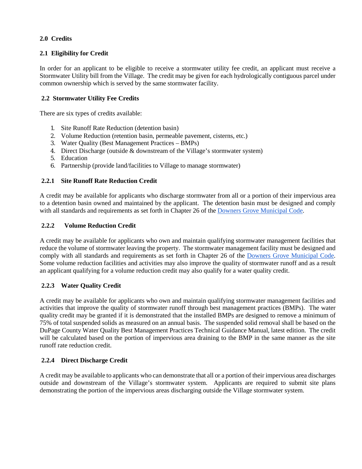### **2.0 Credits**

### **2.1 Eligibility for Credit**

In order for an applicant to be eligible to receive a stormwater utility fee credit, an applicant must receive a Stormwater Utility bill from the Village. The credit may be given for each hydrologically contiguous parcel under common ownership which is served by the same stormwater facility.

### **2.2 Stormwater Utility Fee Credits**

There are six types of credits available:

- 1. Site Runoff Rate Reduction (detention basin)
- 2. Volume Reduction (retention basin, permeable pavement, cisterns, etc.)
- 3. Water Quality (Best Management Practices BMPs)
- 4. Direct Discharge (outside & downstream of the Village's stormwater system)
- 5. Education
- 6. Partnership (provide land/facilities to Village to manage stormwater)

### **2.2.1 Site Runoff Rate Reduction Credit**

A credit may be available for applicants who discharge stormwater from all or a portion of their impervious area to a detention basin owned and maintained by the applicant. The detention basin must be designed and comply with all standards and requirements as set forth in Chapter 26 of the [Downers Grove Municipal](http://www.downers.us/public/docs/code/Chapter26.pdf) [Code.](http://www.downers.us/public/docs/code/Chapter26.pdf)

### **2.2.2 Volume Reduction Credit**

A credit may be available for applicants who own and maintain qualifying stormwater management facilities that reduce the volume of stormwater leaving the property. The stormwater management facility must be designed and comply with all standards and requirements as set forth in Chapter 26 of the [Downers Grove Municipal](http://www.downers.us/public/docs/code/Chapter26.pdf) [Code.](http://www.downers.us/public/docs/code/Chapter26.pdf) Some volume reduction facilities and activities may also improve the quality of stormwater runoff and as a result an applicant qualifying for a volume reduction credit may also qualify for a water quality credit.

### **2.2.3 Water Quality Credit**

A credit may be available for applicants who own and maintain qualifying stormwater management facilities and activities that improve the quality of stormwater runoff through best management practices (BMPs). The water quality credit may be granted if it is demonstrated that the installed BMPs are designed to remove a minimum of 75% of total suspended solids as measured on an annual basis. The suspended solid removal shall be based on the DuPage County Water Quality Best Management Practices Technical Guidance Manual, latest edition. The credit will be calculated based on the portion of impervious area draining to the BMP in the same manner as the site runoff rate reduction credit.

### **2.2.4 Direct Discharge Credit**

A credit may be available to applicants who can demonstrate that all or a portion of their impervious area discharges outside and downstream of the Village's stormwater system. Applicants are required to submit site plans demonstrating the portion of the impervious areas discharging outside the Village stormwater system.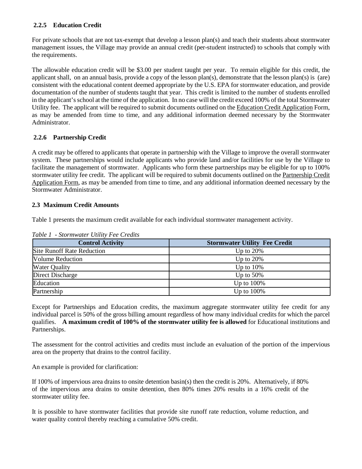### **2.2.5 Education Credit**

For private schools that are not tax-exempt that develop a lesson plan(s) and teach their students about stormwater management issues, the Village may provide an annual credit (per-student instructed) to schools that comply with the requirements.

The allowable education credit will be \$3.00 per student taught per year. To remain eligible for this credit, the applicant shall, on an annual basis, provide a copy of the lesson plan(s), demonstrate that the lesson plan(s) is (are) consistent with the educational content deemed appropriate by the U.S. EPA for stormwater education, and provide documentation of the number of students taught that year. This credit is limited to the number of students enrolled in the applicant's school at the time of the application. In no case will the credit exceed 100% of the total Stormwater Utility fee. The applicant will be required to submit documents outlined on the Education Credit Application Form, as may be amended from time to time, and any additional information deemed necessary by the Stormwater Administrator.

### **2.2.6 Partnership Credit**

A credit may be offered to applicants that operate in partnership with the Village to improve the overall stormwater system. These partnerships would include applicants who provide land and/or facilities for use by the Village to facilitate the management of stormwater. Applicants who form these partnerships may be eligible for up to 100% stormwater utility fee credit. The applicant will be required to submit documents outlined on the Partnership Credit Application Form, as may be amended from time to time, and any additional information deemed necessary by the Stormwater Administrator.

#### **2.3 Maximum Credit Amounts**

Table 1 presents the maximum credit available for each individual stormwater management activity.

| <b>Control Activity</b>           | <b>Stormwater Utility Fee Credit</b> |
|-----------------------------------|--------------------------------------|
| <b>Site Runoff Rate Reduction</b> | Up to $20\%$                         |
| <b>Volume Reduction</b>           | Up to $20\%$                         |
| <b>Water Quality</b>              | Up to $10\%$                         |
| Direct Discharge                  | Up to $50\%$                         |
| Education                         | Up to $100\%$                        |
| Partnership                       | Up to $100\%$                        |

*Table 1 - Stormwater Utility Fee Credits*

Except for Partnerships and Education credits, the maximum aggregate stormwater utility fee credit for any individual parcel is 50% of the gross billing amount regardless of how many individual credits for which the parcel qualifies. **A maximum credit of 100% of the stormwater utility fee is allowed** for Educational institutions and Partnerships.

The assessment for the control activities and credits must include an evaluation of the portion of the impervious area on the property that drains to the control facility.

An example is provided for clarification:

If 100% of impervious area drains to onsite detention basin(s) then the credit is 20%. Alternatively, if 80% of the impervious area drains to onsite detention, then 80% times 20% results in a 16% credit of the stormwater utility fee.

It is possible to have stormwater facilities that provide site runoff rate reduction, volume reduction, and water quality control thereby reaching a cumulative 50% credit.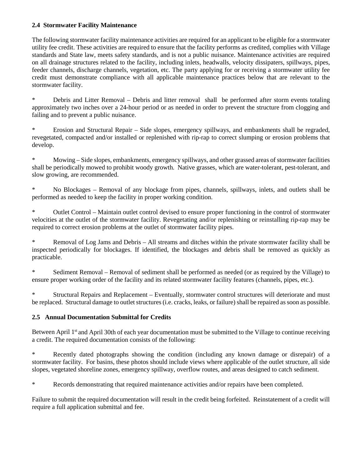#### **2.4 Stormwater Facility Maintenance**

The following stormwater facility maintenance activities are required for an applicant to be eligible for a stormwater utility fee credit. These activities are required to ensure that the facility performs as credited, complies with Village standards and State law, meets safety standards, and is not a public nuisance. Maintenance activities are required on all drainage structures related to the facility, including inlets, headwalls, velocity dissipaters, spillways, pipes, feeder channels, discharge channels, vegetation, etc. The party applying for or receiving a stormwater utility fee credit must demonstrate compliance with all applicable maintenance practices below that are relevant to the stormwater facility.

\* Debris and Litter Removal – Debris and litter removal shall be performed after storm events totaling approximately two inches over a 24-hour period or as needed in order to prevent the structure from clogging and failing and to prevent a public nuisance.

\* Erosion and Structural Repair – Side slopes, emergency spillways, and embankments shall be regraded, revegetated, compacted and/or installed or replenished with rip-rap to correct slumping or erosion problems that develop.

Mowing – Side slopes, embankments, emergency spillways, and other grassed areas of stormwater facilities shall be periodically mowed to prohibit woody growth. Native grasses, which are water-tolerant, pest-tolerant, and slow growing, are recommended.

No Blockages – Removal of any blockage from pipes, channels, spillways, inlets, and outlets shall be performed as needed to keep the facility in proper working condition.

Outlet Control – Maintain outlet control devised to ensure proper functioning in the control of stormwater velocities at the outlet of the stormwater facility. Revegetating and/or replenishing or reinstalling rip-rap may be required to correct erosion problems at the outlet of stormwater facility pipes.

\* Removal of Log Jams and Debris – All streams and ditches within the private stormwater facility shall be inspected periodically for blockages. If identified, the blockages and debris shall be removed as quickly as practicable.

Sediment Removal – Removal of sediment shall be performed as needed (or as required by the Village) to ensure proper working order of the facility and its related stormwater facility features (channels, pipes, etc.).

\* Structural Repairs and Replacement – Eventually, stormwater control structures will deteriorate and must be replaced. Structural damage to outlet structures (i.e. cracks, leaks, or failure) shall be repaired as soon as possible.

### **2.5 Annual Documentation Submittal for Credits**

Between April 1<sup>st</sup> and April 30th of each year documentation must be submitted to the Village to continue receiving a credit. The required documentation consists of the following:

\* Recently dated photographs showing the condition (including any known damage or disrepair) of a stormwater facility. For basins, these photos should include views where applicable of the outlet structure, all side slopes, vegetated shoreline zones, emergency spillway, overflow routes, and areas designed to catch sediment.

\* Records demonstrating that required maintenance activities and/or repairs have been completed.

Failure to submit the required documentation will result in the credit being forfeited. Reinstatement of a credit will require a full application submittal and fee.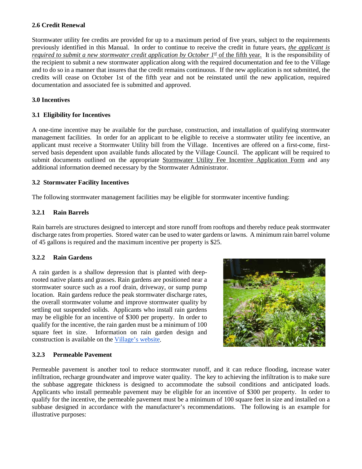#### **2.6 Credit Renewal**

Stormwater utility fee credits are provided for up to a maximum period of five years, subject to the requirements previously identified in this Manual. In order to continue to receive the credit in future years, *the applicant is required to submit a new stormwater credit application by October 1st* of the fifth year. It is the responsibility of the recipient to submit a new stormwater application along with the required documentation and fee to the Village and to do so in a manner that insures that the credit remains continuous. If the new application is not submitted, the credits will cease on October 1st of the fifth year and not be reinstated until the new application, required documentation and associated fee is submitted and approved.

#### **3.0 Incentives**

#### **3.1 Eligibility for Incentives**

A one-time incentive may be available for the purchase, construction, and installation of qualifying stormwater management facilities. In order for an applicant to be eligible to receive a stormwater utility fee incentive, an applicant must receive a Stormwater Utility bill from the Village. Incentives are offered on a first-come, firstserved basis dependent upon available funds allocated by the Village Council. The applicant will be required to submit documents outlined on the appropriate Stormwater Utility Fee Incentive Application Form and any additional information deemed necessary by the Stormwater Administrator.

#### **3.2 Stormwater Facility Incentives**

The following stormwater management facilities may be eligible for stormwater incentive funding:

#### **3.2.1 Rain Barrels**

Rain barrels are structures designed to intercept and store runoff from rooftops and thereby reduce peak stormwater discharge rates from properties. Stored water can be used to water gardens or lawns. A minimum rain barrel volume of 45 gallons is required and the maximum incentive per property is \$25.

#### **3.2.2 Rain Gardens**

A rain garden is a shallow depression that is planted with deeprooted native plants and grasses. Rain gardens are positioned near a stormwater source such as a roof drain, driveway, or sump pump location. Rain gardens reduce the peak stormwater discharge rates, the overall stormwater volume and improve stormwater quality by settling out suspended solids. Applicants who install rain gardens may be eligible for an incentive of \$300 per property. In order to qualify for the incentive, the rain garden must be a minimum of 100 square feet in size. Information on rain garden design and construction is available on th[e Village's](http://www.downers.us/res/stormwater-management) [website.](http://www.downers.us/res/stormwater-management)



#### **3.2.3 Permeable Pavement**

Permeable pavement is another tool to reduce stormwater runoff, and it can reduce flooding, increase water infiltration, recharge groundwater and improve water quality. The key to achieving the infiltration is to make sure the subbase aggregate thickness is designed to accommodate the subsoil conditions and anticipated loads. Applicants who install permeable pavement may be eligible for an incentive of \$300 per property. In order to qualify for the incentive, the permeable pavement must be a minimum of 100 square feet in size and installed on a subbase designed in accordance with the manufacturer's recommendations. The following is an example for illustrative purposes: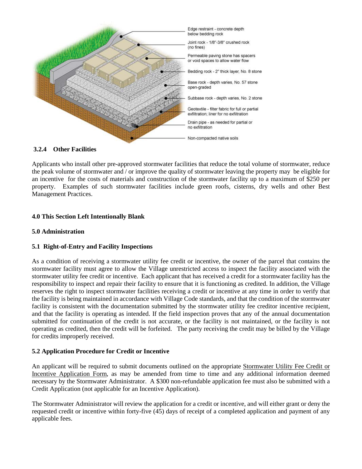

#### **3.2.4 Other Facilities**

Applicants who install other pre-approved stormwater facilities that reduce the total volume of stormwater, reduce the peak volume of stormwater and / or improve the quality of stormwater leaving the property may be eligible for an incentive for the costs of materials and construction of the stormwater facility up to a maximum of \$250 per property. Examples of such stormwater facilities include green roofs, cisterns, dry wells and other Best Management Practices.

#### **4.0 This Section Left Intentionally Blank**

#### **5.0 Administration**

#### **5.1 Right-of-Entry and Facility Inspections**

As a condition of receiving a stormwater utility fee credit or incentive, the owner of the parcel that contains the stormwater facility must agree to allow the Village unrestricted access to inspect the facility associated with the stormwater utility fee credit or incentive. Each applicant that has received a credit for a stormwater facility has the responsibility to inspect and repair their facility to ensure that it is functioning as credited. In addition, the Village reserves the right to inspect stormwater facilities receiving a credit or incentive at any time in order to verify that the facility is being maintained in accordance with Village Code standards, and that the condition of the stormwater facility is consistent with the documentation submitted by the stormwater utility fee creditor incentive recipient, and that the facility is operating as intended. If the field inspection proves that any of the annual documentation submitted for continuation of the credit is not accurate, or the facility is not maintained, or the facility is not operating as credited, then the credit will be forfeited. The party receiving the credit may be billed by the Village for credits improperly received.

#### **5.2 Application Procedure for Credit or Incentive**

An applicant will be required to submit documents outlined on the appropriate Stormwater Utility Fee Credit or Incentive Application Form, as may be amended from time to time and any additional information deemed necessary by the Stormwater Administrator. A \$300 non-refundable application fee must also be submitted with a Credit Application (not applicable for an Incentive Application).

The Stormwater Administrator will review the application for a credit or incentive, and will either grant or deny the requested credit or incentive within forty-five (45) days of receipt of a completed application and payment of any applicable fees.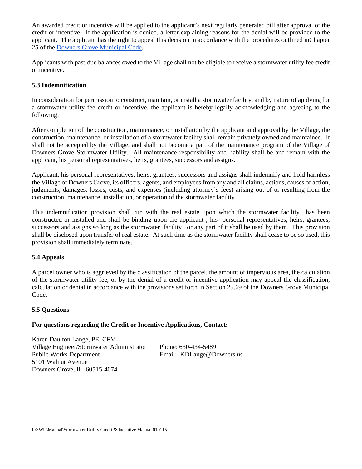An awarded credit or incentive will be applied to the applicant's next regularly generated bill after approval of the credit or incentive. If the application is denied, a letter explaining reasons for the denial will be provided to the applicant. The applicant has the right to appeal this decision in accordance with the procedures outlined inChapter 25 of the [Downers Grove Municipal Code.](http://www.downers.us/govt/municipal-code)

Applicants with past-due balances owed to the Village shall not be eligible to receive a stormwater utility fee credit or incentive.

#### **5.3 Indemnification**

In consideration for permission to construct, maintain, or install a stormwater facility, and by nature of applying for a stormwater utility fee credit or incentive, the applicant is hereby legally acknowledging and agreeing to the following:

After completion of the construction, maintenance, or installation by the applicant and approval by the Village, the construction, maintenance, or installation of a stormwater facility shall remain privately owned and maintained. It shall not be accepted by the Village, and shall not become a part of the maintenance program of the Village of Downers Grove Stormwater Utility. All maintenance responsibility and liability shall be and remain with the applicant, his personal representatives, heirs, grantees, successors and assigns.

Applicant, his personal representatives, heirs, grantees, successors and assigns shall indemnify and hold harmless the Village of Downers Grove, its officers, agents, and employees from any and all claims, actions, causes of action, judgments, damages, losses, costs, and expenses (including attorney's fees) arising out of or resulting from the construction, maintenance, installation, or operation of the stormwater facility .

This indemnification provision shall run with the real estate upon which the stormwater facility has been constructed or installed and shall be binding upon the applicant , his personal representatives, heirs, grantees, successors and assigns so long as the stormwater facility or any part of it shall be used by them. This provision shall be disclosed upon transfer of real estate. At such time as the stormwater facility shall cease to be so used, this provision shall immediately terminate.

#### **5.4 Appeals**

A parcel owner who is aggrieved by the classification of the parcel, the amount of impervious area, the calculation of the stormwater utility fee, or by the denial of a credit or incentive application may appeal the classification, calculation or denial in accordance with the provisions set forth in Section 25.69 of the Downers Grove Municipal Code.

#### **5.5 Questions**

#### **For questions regarding the Credit or Incentive Applications, Contact:**

Karen Daulton Lange, PE, CFM Village Engineer/Stormwater Administrator Phone: 630-434-5489 Public Works Department Email: KDLange@Downers.us 5101 Walnut Avenue Downers Grove, IL 60515-4074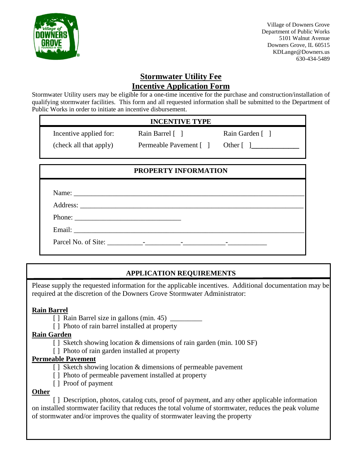

 Village of Downers Grove Department of Public Works 5101 Walnut Avenue Downers Grove, IL 60515 KDLange@Downers.us 630-434-5489

# **Stormwater Utility Fee Incentive Application Form**

Stormwater Utility users may be eligible for a one-time incentive for the purchase and construction/installation of qualifying stormwater facilities. This form and all requested information shall be submitted to the Department of Public Works in order to initiate an incentive disbursement.

# **INCENTIVE TYPE**

Incentive applied for: Rain Barrel [ ] Rain Garden [ ] (check all that apply) Permeable Pavement [ ] Other [ ]

# **PROPERTY INFORMATION**

# **APPLICATION REQUIREMENTS**

Please supply the requested information for the applicable incentives. Additional documentation may be required at the discretion of the Downers Grove Stormwater Administrator:

# **Rain Barrel**

- [ ] Rain Barrel size in gallons (min. 45)
- [] Photo of rain barrel installed at property

# **Rain Garden**

- [ ] Sketch showing location & dimensions of rain garden (min. 100 SF)
- [] Photo of rain garden installed at property

# **Permeable Pavement**

- [] Sketch showing location & dimensions of permeable pavement
- [] Photo of permeable pavement installed at property
- [ ] Proof of payment

# **Other**

[] Description, photos, catalog cuts, proof of payment, and any other applicable information on installed stormwater facility that reduces the total volume of stormwater, reduces the peak volume of stormwater and/or improves the quality of stormwater leaving the property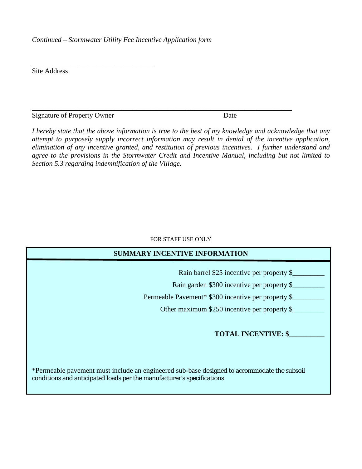*Continued – Stormwater Utility Fee Incentive Application form*

Site Address

Signature of Property Owner Date

 $\overline{\phantom{a}}$  , and the set of the set of the set of the set of the set of the set of the set of the set of the set of the set of the set of the set of the set of the set of the set of the set of the set of the set of the s

*I hereby state that the above information is true to the best of my knowledge and acknowledge that any attempt to purposely supply incorrect information may result in denial of the incentive application, elimination of any incentive granted, and restitution of previous incentives. I further understand and agree to the provisions in the Stormwater Credit and Incentive Manual, including but not limited to Section 5.3 regarding indemnification of the Village.* 

\_\_\_\_\_\_\_\_\_\_\_\_\_\_\_\_\_\_\_\_\_\_\_\_\_\_\_\_\_\_\_\_\_\_\_\_\_\_\_\_\_\_\_\_\_\_\_\_\_\_\_\_\_\_\_\_\_\_\_\_\_\_\_\_\_\_\_\_\_\_\_\_\_\_\_\_\_\_\_\_\_\_\_\_\_\_\_\_

#### FOR STAFF USE ONLY

| <b>SUMMARY INCENTIVE INFORMATION</b>                                                                                                                                  |
|-----------------------------------------------------------------------------------------------------------------------------------------------------------------------|
| Rain barrel \$25 incentive per property \$<br>Rain garden \$300 incentive per property \$                                                                             |
| Permeable Pavement* \$300 incentive per property \$                                                                                                                   |
| Other maximum \$250 incentive per property \$                                                                                                                         |
| <b>TOTAL INCENTIVE: \$</b>                                                                                                                                            |
|                                                                                                                                                                       |
| *Permeable pavement must include an engineered sub-base designed to accommodate the subsoil<br>conditions and anticipated loads per the manufacturer's specifications |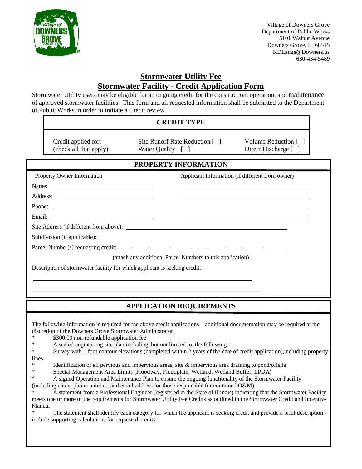

Village of Downers Grove Department of Public Works 5101 Walnut Avenue Downers Grove, IL 60515 KDLange@Downers.us 630-434-5489

# **Stormwater Utility Fee Stormwater Facility - Credit Application Form**

Stormwater Utility users may be eligible for an ongoing credit for the construction, operation, and maintenance of approved stormwater facilities. This form and all requested information shall be submitted to the Department of Public Works in order to initiate a Credit review.

|                       |                                                                                                      | <b>CREDIT TYPE</b>                                                                                                                                                                                                                                                                                                                  |                                                 |
|-----------------------|------------------------------------------------------------------------------------------------------|-------------------------------------------------------------------------------------------------------------------------------------------------------------------------------------------------------------------------------------------------------------------------------------------------------------------------------------|-------------------------------------------------|
|                       | Credit applied for:<br>(check all that apply)                                                        | Site Runoff Rate Reduction [ ]<br>Water Quality [ ]                                                                                                                                                                                                                                                                                 | Volume Reduction [ ]<br>Direct Discharge [ ]    |
|                       |                                                                                                      | PROPERTY INFORMATION                                                                                                                                                                                                                                                                                                                |                                                 |
|                       | <b>Property Owner Information</b>                                                                    |                                                                                                                                                                                                                                                                                                                                     | Applicant Information (if different from owner) |
| Name:                 | <u> 1989 - Johann Barn, fransk politik formuler (d. 1989)</u>                                        |                                                                                                                                                                                                                                                                                                                                     |                                                 |
|                       |                                                                                                      |                                                                                                                                                                                                                                                                                                                                     |                                                 |
|                       |                                                                                                      |                                                                                                                                                                                                                                                                                                                                     |                                                 |
|                       |                                                                                                      |                                                                                                                                                                                                                                                                                                                                     |                                                 |
|                       |                                                                                                      |                                                                                                                                                                                                                                                                                                                                     |                                                 |
|                       |                                                                                                      |                                                                                                                                                                                                                                                                                                                                     |                                                 |
|                       |                                                                                                      |                                                                                                                                                                                                                                                                                                                                     |                                                 |
|                       |                                                                                                      | (attach any additional Parcel Numbers to this application)                                                                                                                                                                                                                                                                          |                                                 |
|                       |                                                                                                      | Description of stormwater facility for which applicant is seeking credit:                                                                                                                                                                                                                                                           |                                                 |
|                       |                                                                                                      |                                                                                                                                                                                                                                                                                                                                     |                                                 |
|                       |                                                                                                      |                                                                                                                                                                                                                                                                                                                                     |                                                 |
|                       |                                                                                                      |                                                                                                                                                                                                                                                                                                                                     |                                                 |
|                       |                                                                                                      | <b>APPLICATION REQUIREMENTS</b>                                                                                                                                                                                                                                                                                                     |                                                 |
| $\ast$<br>$\ast$<br>∗ | discretion of the Downers Grove Stormwater Administrator:<br>\$300.00 non-refundable application fee | The following information is required for the above credit applications – additional documentation may be required at the<br>A scaled engineering site plan including, but not limited to, the following:<br>Survey with 1 foot contour elevations (completed within 2 years of the date of credit application), including property |                                                 |
| lines<br>$\ast$       |                                                                                                      | Identification of all pervious and impervious areas, site $\&$ impervious area draining to pond/offsite                                                                                                                                                                                                                             |                                                 |

- \* Special Management Area Limits (Floodway, Floodplain, Wetland, Wetland Buffer, LPDA)
- \* A signed Operation and Maintenance Plan to ensure the ongoing functionality of the Stormwater Facility (including name, phone number, and email address for those responsible for continued O&M)
- \* A statement from a Professional Engineer (registered in the State of Illinois) indicating that the Stormwater Facility meets one or more of the requirements for Stormwater Utility Fee Credits as outlined in the Stormwater Credit and Incentive Manual

\* The statement shall identify each category for which the applicant is seeking credit and provide a brief description include supporting calculations for requested credits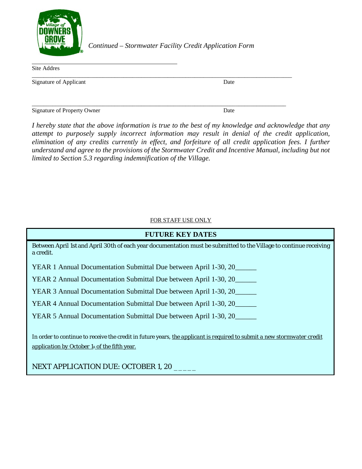

*Continued – Stormwater Facility Credit Application Form*

| Site Addres                 |      |
|-----------------------------|------|
| Signature of Applicant      | Date |
|                             |      |
| Signature of Property Owner | Date |

*I hereby state that the above information is true to the best of my knowledge and acknowledge that any attempt to purposely supply incorrect information may result in denial of the credit application, elimination of any credits currently in effect, and forfeiture of all credit application fees. I further understand and agree to the provisions of the Stormwater Credit and Incentive Manual, including but not limited to Section 5.3 regarding indemnification of the Village.* 

### FOR STAFF USE ONLY

| <b>FUTURE KEY DATES</b>                                                                                                                                                              |  |
|--------------------------------------------------------------------------------------------------------------------------------------------------------------------------------------|--|
| Between April 1st and April 30th of each year documentation must be submitted to the Village to continue receiving<br>a credit.                                                      |  |
| YEAR 1 Annual Documentation Submittal Due between April 1-30, 20                                                                                                                     |  |
| YEAR 2 Annual Documentation Submittal Due between April 1-30, 20                                                                                                                     |  |
| YEAR 3 Annual Documentation Submittal Due between April 1-30, 20                                                                                                                     |  |
| YEAR 4 Annual Documentation Submittal Due between April 1-30, 20                                                                                                                     |  |
| YEAR 5 Annual Documentation Submittal Due between April 1-30, 20                                                                                                                     |  |
| In order to continue to receive the credit in future years, the applicant is required to submit a new stormwater credit<br>application by October $1_{\text{st}}$ of the fifth year. |  |
| <b>NEXT APPLICATION DUE: OCTOBER 1, 20</b>                                                                                                                                           |  |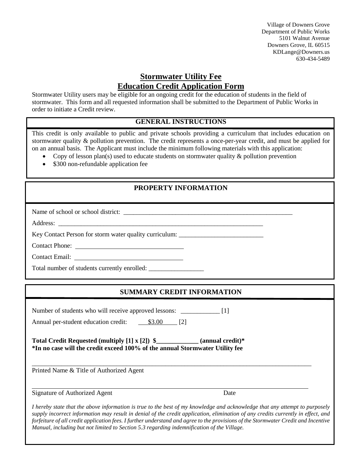Village of Downers Grove Department of Public Works 5101 Walnut Avenue Downers Grove, IL 60515 KDLange@Downers.us 630-434-5489

# **Stormwater Utility Fee Education Credit Application Form**

Stormwater Utility users may be eligible for an ongoing credit for the education of students in the field of stormwater. This form and all requested information shall be submitted to the Department of Public Works in order to initiate a Credit review.

# **GENERAL INSTRUCTIONS**

This credit is only available to public and private schools providing a curriculum that includes education on stormwater quality & pollution prevention. The credit represents a once-per-year credit, and must be applied for on an annual basis. The Applicant must include the minimum following materials with this application:

- Copy of lesson plan(s) used to educate students on stormwater quality  $\&$  pollution prevention
- \$300 non-refundable application fee

# **PROPERTY INFORMATION**

Name of school or school district: \_\_\_\_\_\_\_\_\_\_\_\_\_\_\_\_\_\_\_\_\_\_\_\_\_\_\_\_\_\_\_\_\_\_\_\_\_\_\_\_\_\_\_\_\_\_\_\_\_\_\_\_

Address:

i

Key Contact Person for storm water quality curriculum:

Contact Phone:

Contact Email:

Total number of students currently enrolled: \_\_\_\_\_\_\_\_\_\_\_\_\_\_\_\_\_\_\_\_\_\_\_\_\_\_\_\_\_\_\_\_\_\_\_

# **SUMMARY CREDIT INFORMATION**

| Total Credit Requested (multiply [1] x [2]) \$_____________ (annual credit)* |
|------------------------------------------------------------------------------|
|                                                                              |
|                                                                              |
|                                                                              |
| Date                                                                         |

*supply incorrect information may result in denial of the credit application, elimination of any credits currently in effect, and forfeiture of all credit application fees. I further understand and agree to the provisions of the Stormwater Credit and Incentive Manual, including but not limited to Section 5.3 regarding indemnification of the Village.*